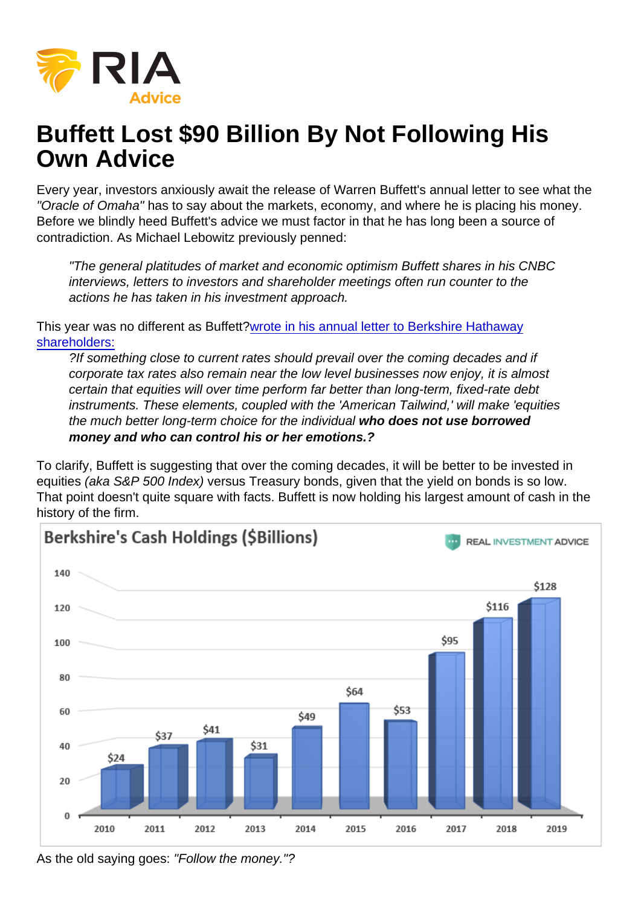## Buffett Lost \$90 Billion By Not Following His Own Advice

Every year, investors anxiously await the release of Warren Buffett's annual letter to see what the "Oracle of Omaha" has to say about the markets, economy, and where he is placing his money. Before we blindly heed Buffett's advice we must factor in that he has long been a source of contradiction. As Michael Lebowitz previously penned:

"The general platitudes of market and economic optimism Buffett shares in his CNBC interviews, letters to investors and shareholder meetings often run counter to the actions he has taken in his investment approach.

This year was no different as Buffett[?wrote in his annual letter to Berkshire Hathaway](https://www.cnbc.com/2020/02/22/warren-buffetts-annual-letter-to-berkshire-hathaway-shareholders.html) [shareholders:](https://www.cnbc.com/2020/02/22/warren-buffetts-annual-letter-to-berkshire-hathaway-shareholders.html)

?If something close to current rates should prevail over the coming decades and if corporate tax rates also remain near the low level businesses now enjoy, it is almost certain that equities will over time perform far better than long-term, fixed-rate debt instruments. These elements, coupled with the 'American Tailwind,' will make 'equities the much better long-term choice for the individual who does not use borrowed money and who can control his or her emotions.?

To clarify, Buffett is suggesting that over the coming decades, it will be better to be invested in equities (aka S&P 500 Index) versus Treasury bonds, given that the yield on bonds is so low. That point doesn't quite square with facts. Buffett is now holding his largest amount of cash in the history of the firm.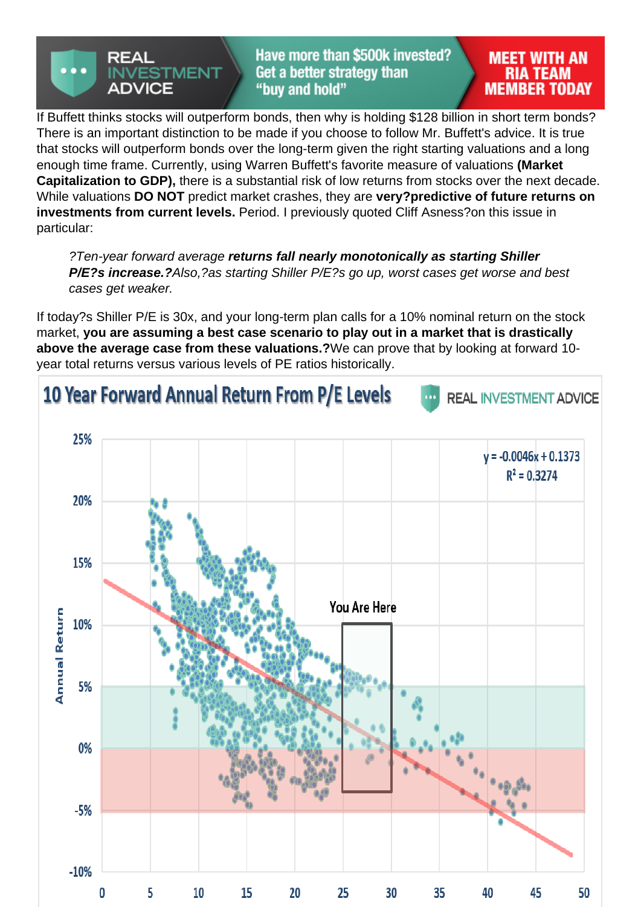If Buffett thinks stocks will outperform bonds, then why is holding \$128 billion in short term bonds? There is an important distinction to be made if you choose to follow Mr. Buffett's advice. It is true that stocks will outperform bonds over the long-term given the right starting valuations and a long enough time frame. Currently, using Warren Buffett's favorite measure of valuations (Market Capitalization to GDP), there is a substantial risk of low returns from stocks over the next decade. While valuations DO NOT predict market crashes, they are very?predictive of future returns on investments from current levels. Period. I previously quoted Cliff Asness?on this issue in particular:

?Ten-year forward average returns fall nearly monotonically as starting Shiller P/E?s increase.? Also,?as starting Shiller P/E?s go up, worst cases get worse and best cases get weaker.

If today?s Shiller P/E is 30x, and your long-term plan calls for a 10% nominal return on the stock market, you are assuming a best case scenario to play out in a market that is drastically above the average case from these valuations.? We can prove that by looking at forward 10 year total returns versus various levels of PE ratios historically.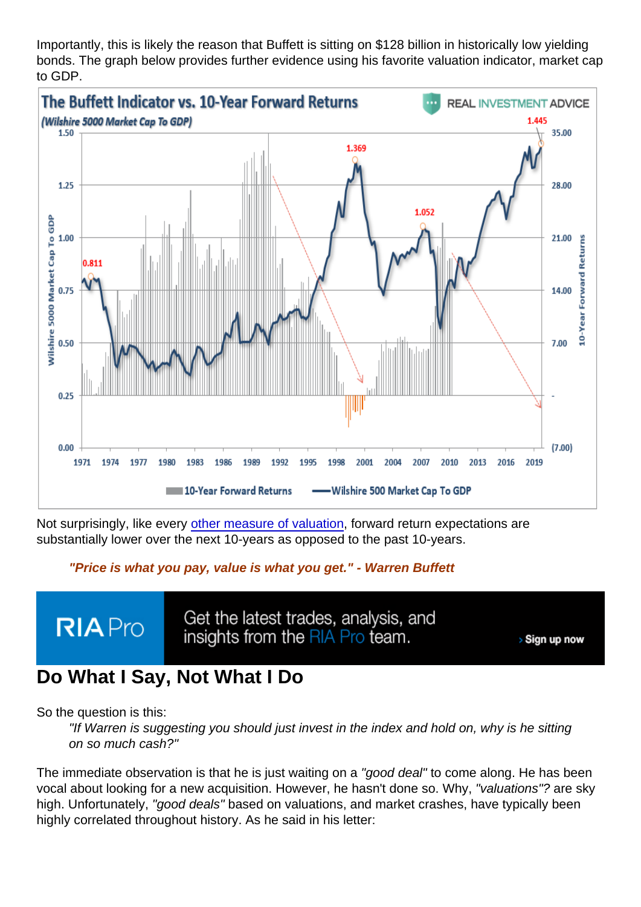Importantly, this is likely the reason that Buffett is sitting on \$128 billion in historically low yielding bonds. The graph below provides further evidence using his favorite valuation indicator, market cap to GDP.

Not surprisingly, like every [other measure of valuation](https://realinvestmentadvice.com/wp-content/uploads/2017/07/Buffet-Indicator-10Year-Forward-Returns-071017.png), forward return expectations are substantially lower over the next 10-years as opposed to the past 10-years.

"Price is what you pay, value is what you get." - Warren Buffett

## Do What I Say, Not What I Do

So the question is this:

"If Warren is suggesting you should just invest in the index and hold on, why is he sitting on so much cash?"

The immediate observation is that he is just waiting on a "good deal" to come along. He has been vocal about looking for a new acquisition. However, he hasn't done so. Why, "valuations"? are sky high. Unfortunately, "good deals" based on valuations, and market crashes, have typically been highly correlated throughout history. As he said in his letter: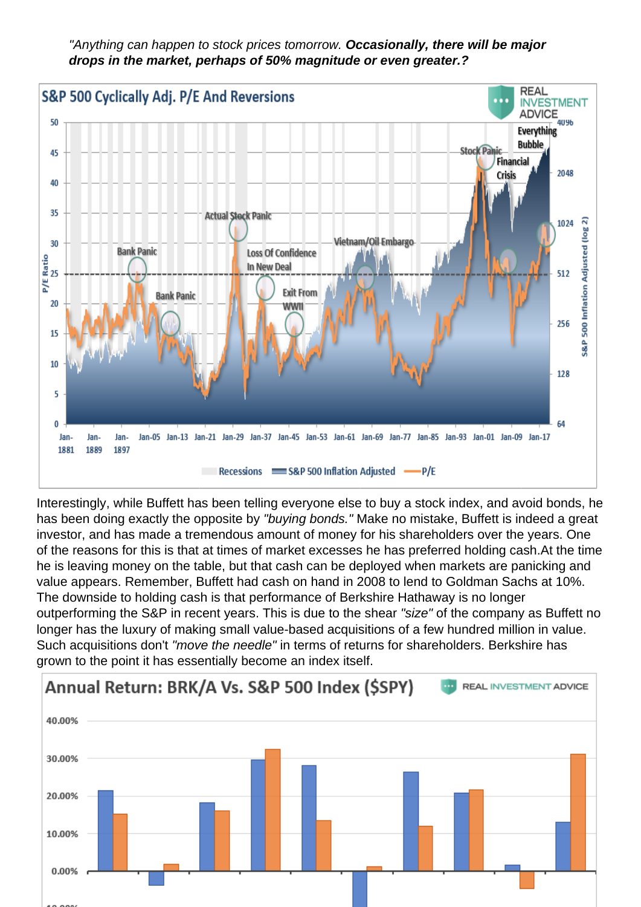"Anything can happen to stock prices tomorrow. Occasionally, there will be major drops in the market, perhaps of 50% magnitude or even greater.?

Interestingly, while Buffett has been telling everyone else to buy a stock index, and avoid bonds, he has been doing exactly the opposite by "buying bonds." Make no mistake, Buffett is indeed a great investor, and has made a tremendous amount of money for his shareholders over the years. One of the reasons for this is that at times of market excesses he has preferred holding cash.At the time he is leaving money on the table, but that cash can be deployed when markets are panicking and value appears. Remember, Buffett had cash on hand in 2008 to lend to Goldman Sachs at 10%. The downside to holding cash is that performance of Berkshire Hathaway is no longer outperforming the S&P in recent years. This is due to the shear "size" of the company as Buffett no longer has the luxury of making small value-based acquisitions of a few hundred million in value. Such acquisitions don't "move the needle" in terms of returns for shareholders. Berkshire has grown to the point it has essentially become an index itself.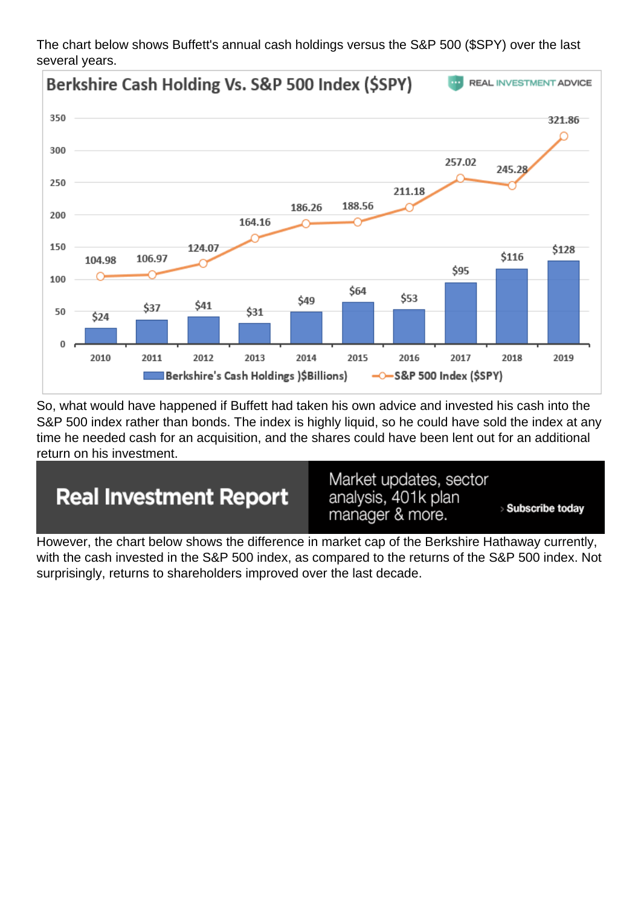The chart below shows Buffett's annual cash holdings versus the S&P 500 (\$SPY) over the last several years.

So, what would have happened if Buffett had taken his own advice and invested his cash into the S&P 500 index rather than bonds. The index is highly liquid, so he could have sold the index at any time he needed cash for an acquisition, and the shares could have been lent out for an additional return on his investment.

However, the chart below shows the difference in market cap of the Berkshire Hathaway currently, with the cash invested in the S&P 500 index, as compared to the returns of the S&P 500 index. Not surprisingly, returns to shareholders improved over the last decade.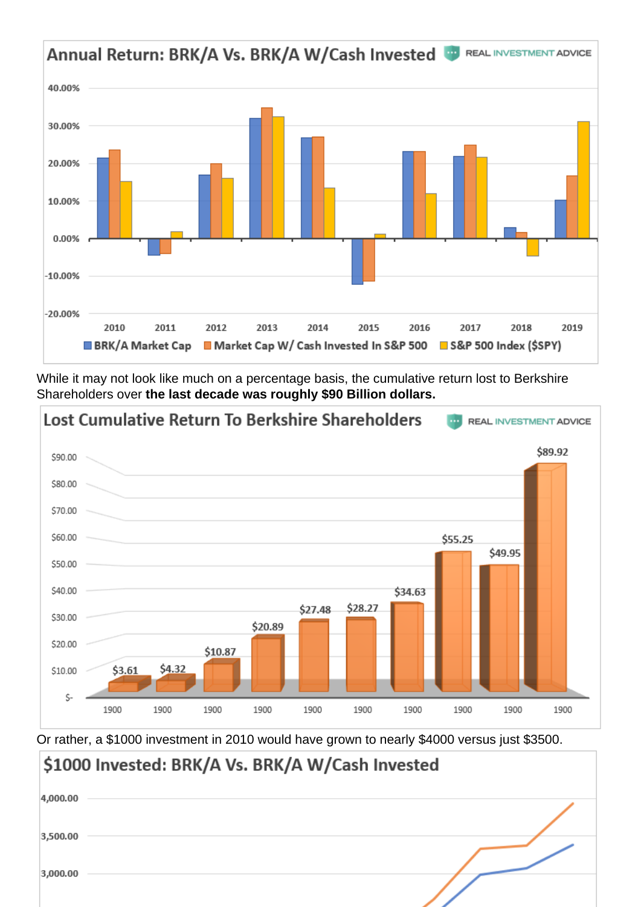While it may not look like much on a percentage basis, the cumulative return lost to Berkshire Shareholders over the last decade was roughly \$90 Billion dollars.

Or rather, a \$1000 investment in 2010 would have grown to nearly \$4000 versus just \$3500.